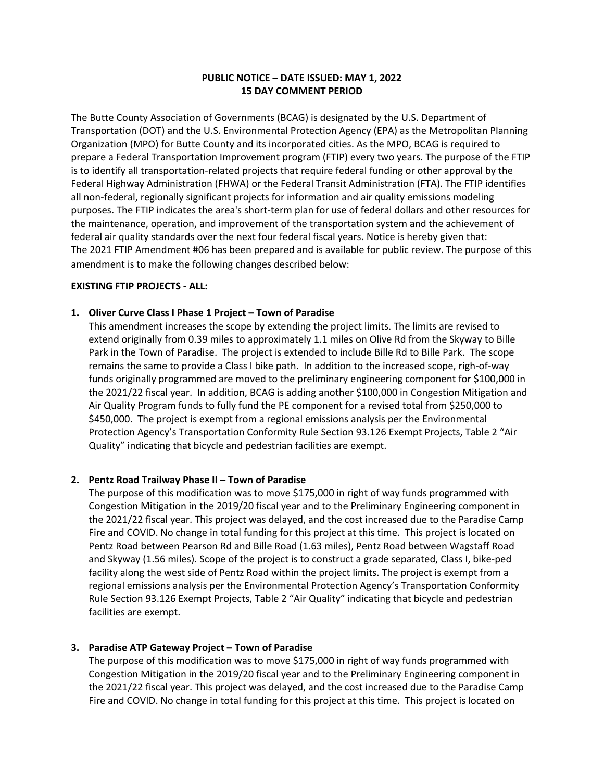## **PUBLIC NOTICE – DATE ISSUED: MAY 1, 2022 15 DAY COMMENT PERIOD**

The Butte County Association of Governments (BCAG) is designated by the U.S. Department of Transportation (DOT) and the U.S. Environmental Protection Agency (EPA) as the Metropolitan Planning Organization (MPO) for Butte County and its incorporated cities. As the MPO, BCAG is required to prepare a Federal Transportation Improvement program (FTIP) every two years. The purpose of the FTIP is to identify all transportation‐related projects that require federal funding or other approval by the Federal Highway Administration (FHWA) or the Federal Transit Administration (FTA). The FTIP identifies all non‐federal, regionally significant projects for information and air quality emissions modeling purposes. The FTIP indicates the area's short-term plan for use of federal dollars and other resources for the maintenance, operation, and improvement of the transportation system and the achievement of federal air quality standards over the next four federal fiscal years. Notice is hereby given that: The 2021 FTIP Amendment #06 has been prepared and is available for public review. The purpose of this amendment is to make the following changes described below:

### **EXISTING FTIP PROJECTS ‐ ALL:**

#### **1. Oliver Curve Class I Phase 1 Project – Town of Paradise**

This amendment increases the scope by extending the project limits. The limits are revised to extend originally from 0.39 miles to approximately 1.1 miles on Olive Rd from the Skyway to Bille Park in the Town of Paradise. The project is extended to include Bille Rd to Bille Park. The scope remains the same to provide a Class I bike path. In addition to the increased scope, righ‐of‐way funds originally programmed are moved to the preliminary engineering component for \$100,000 in the 2021/22 fiscal year. In addition, BCAG is adding another \$100,000 in Congestion Mitigation and Air Quality Program funds to fully fund the PE component for a revised total from \$250,000 to \$450,000. The project is exempt from a regional emissions analysis per the Environmental Protection Agency's Transportation Conformity Rule Section 93.126 Exempt Projects, Table 2 "Air Quality" indicating that bicycle and pedestrian facilities are exempt.

### **2. Pentz Road Trailway Phase II – Town of Paradise**

The purpose of this modification was to move \$175,000 in right of way funds programmed with Congestion Mitigation in the 2019/20 fiscal year and to the Preliminary Engineering component in the 2021/22 fiscal year. This project was delayed, and the cost increased due to the Paradise Camp Fire and COVID. No change in total funding for this project at this time. This project is located on Pentz Road between Pearson Rd and Bille Road (1.63 miles), Pentz Road between Wagstaff Road and Skyway (1.56 miles). Scope of the project is to construct a grade separated, Class I, bike‐ped facility along the west side of Pentz Road within the project limits. The project is exempt from a regional emissions analysis per the Environmental Protection Agency's Transportation Conformity Rule Section 93.126 Exempt Projects, Table 2 "Air Quality" indicating that bicycle and pedestrian facilities are exempt.

### **3. Paradise ATP Gateway Project – Town of Paradise**

The purpose of this modification was to move \$175,000 in right of way funds programmed with Congestion Mitigation in the 2019/20 fiscal year and to the Preliminary Engineering component in the 2021/22 fiscal year. This project was delayed, and the cost increased due to the Paradise Camp Fire and COVID. No change in total funding for this project at this time. This project is located on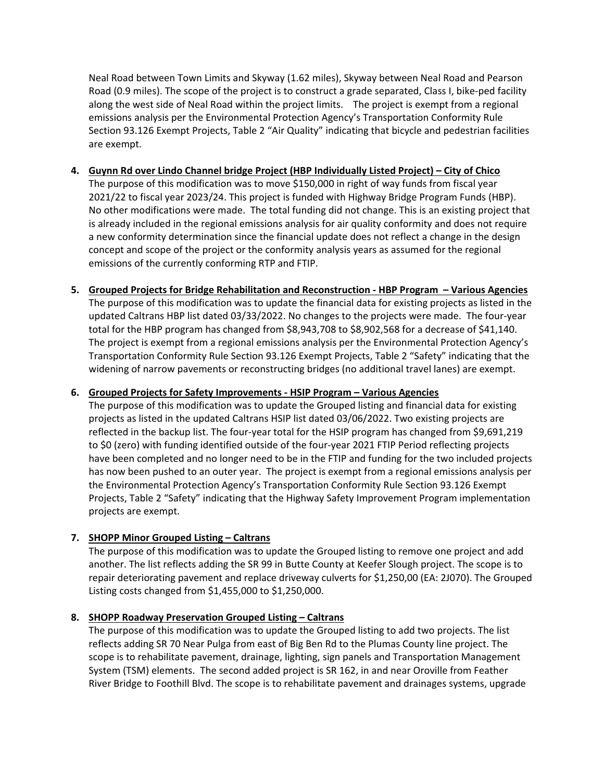Neal Road between Town Limits and Skyway (1.62 miles), Skyway between Neal Road and Pearson Road (0.9 miles). The scope of the project is to construct a grade separated, Class I, bike‐ped facility along the west side of Neal Road within the project limits. The project is exempt from a regional emissions analysis per the Environmental Protection Agency's Transportation Conformity Rule Section 93.126 Exempt Projects, Table 2 "Air Quality" indicating that bicycle and pedestrian facilities are exempt.

- **4. Guynn Rd over Lindo Channel bridge Project (HBP Individually Listed Project) – City of Chico** The purpose of this modification was to move \$150,000 in right of way funds from fiscal year 2021/22 to fiscal year 2023/24. This project is funded with Highway Bridge Program Funds (HBP). No other modifications were made. The total funding did not change. This is an existing project that is already included in the regional emissions analysis for air quality conformity and does not require a new conformity determination since the financial update does not reflect a change in the design concept and scope of the project or the conformity analysis years as assumed for the regional emissions of the currently conforming RTP and FTIP.
- **5. Grouped Projects for Bridge Rehabilitation and Reconstruction ‐ HBP Program – Various Agencies** The purpose of this modification was to update the financial data for existing projects as listed in the updated Caltrans HBP list dated 03/33/2022. No changes to the projects were made. The four‐year total for the HBP program has changed from \$8,943,708 to \$8,902,568 for a decrease of \$41,140. The project is exempt from a regional emissions analysis per the Environmental Protection Agency's Transportation Conformity Rule Section 93.126 Exempt Projects, Table 2 "Safety" indicating that the widening of narrow pavements or reconstructing bridges (no additional travel lanes) are exempt.

# **6. Grouped Projects for Safety Improvements ‐ HSIP Program – Various Agencies**

The purpose of this modification was to update the Grouped listing and financial data for existing projects as listed in the updated Caltrans HSIP list dated 03/06/2022. Two existing projects are reflected in the backup list. The four‐year total for the HSIP program has changed from \$9,691,219 to \$0 (zero) with funding identified outside of the four‐year 2021 FTIP Period reflecting projects have been completed and no longer need to be in the FTIP and funding for the two included projects has now been pushed to an outer year. The project is exempt from a regional emissions analysis per the Environmental Protection Agency's Transportation Conformity Rule Section 93.126 Exempt Projects, Table 2 "Safety" indicating that the Highway Safety Improvement Program implementation projects are exempt.

# **7. SHOPP Minor Grouped Listing – Caltrans**

The purpose of this modification was to update the Grouped listing to remove one project and add another. The list reflects adding the SR 99 in Butte County at Keefer Slough project. The scope is to repair deteriorating pavement and replace driveway culverts for \$1,250,00 (EA: 2J070). The Grouped Listing costs changed from \$1,455,000 to \$1,250,000.

### **8. SHOPP Roadway Preservation Grouped Listing – Caltrans**

The purpose of this modification was to update the Grouped listing to add two projects. The list reflects adding SR 70 Near Pulga from east of Big Ben Rd to the Plumas County line project. The scope is to rehabilitate pavement, drainage, lighting, sign panels and Transportation Management System (TSM) elements. The second added project is SR 162, in and near Oroville from Feather River Bridge to Foothill Blvd. The scope is to rehabilitate pavement and drainages systems, upgrade